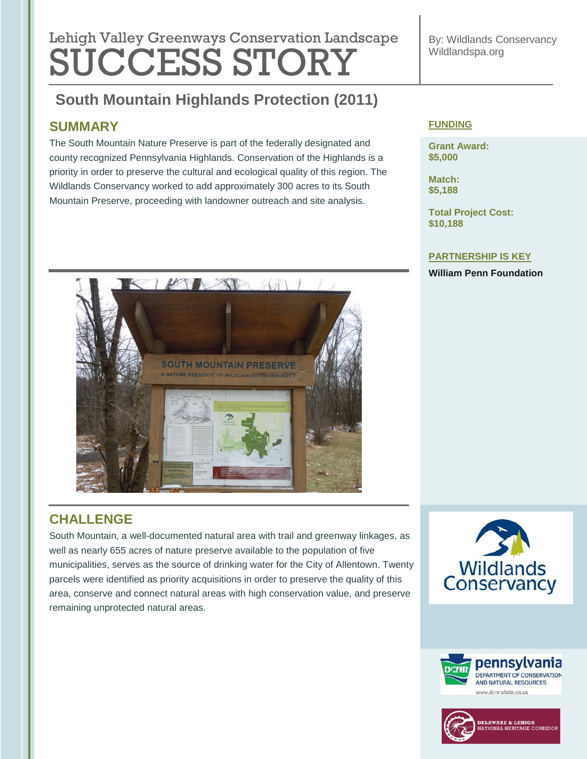# **Lebish Velley Que environmental regulation Lengtheres** Lehigh Valley Greenways Conservation Landscape SUCCESS STORY

By: Wildlands Conservancy Wildlandspa.org

#### **South Mountain Highlands Protection (2011) South Mountain Highlands Protection (2011)**

## **SUMMARY**

The South Mountain Nature Preserve is part of the federally designated and county recognized Pennsylvania Highlands. Conservation of the Highlands is a priority in order to preserve the cultural and ecological quality of this region. The Wildlands Conservancy worked to add approximately 300 acres to its South Mountain Preserve, proceeding with landowner outreach and site analysis.

#### **FUNDING**

**Grant Award: \$5,000**

**Match: \$5,188**

**Total Project Cost: \$10,188**

#### **PARTNERSHIP IS KEY**

**William Penn Foundation**



## **CHALLENGE**

South Mountain, a well-documented natural area with trail and greenway linkages, as well as nearly 655 acres of nature preserve available to the population of five municipalities, serves as the source of drinking water for the City of Allentown. Twenty parcels were identified as priority acquisitions in order to preserve the quality of this area, conserve and connect natural areas with high conservation value, and preserve remaining unprotected natural areas.